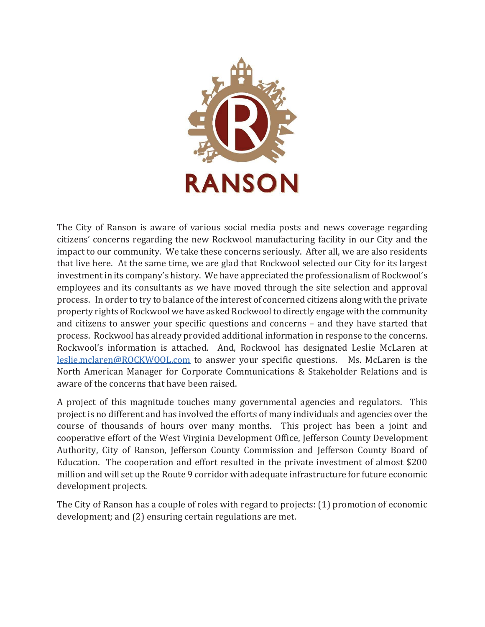

The City of Ranson is aware of various social media posts and news coverage regarding citizens' concerns regarding the new Rockwool manufacturing facility in our City and the impact to our community. We take these concerns seriously. After all, we are also residents that live here. At the same time, we are glad that Rockwool selected our City for its largest investment in its company's history. We have appreciated the professionalism of Rockwool's employees and its consultants as we have moved through the site selection and approval process. In order to try to balance of the interest of concerned citizens along with the private property rights of Rockwool we have asked Rockwool to directly engage with the community and citizens to answer your specific questions and concerns - and they have started that process. Rockwool has already provided additional information in response to the concerns. Rockwool's information is attached. And, Rockwool has designated Leslie McLaren at leslie.mclaren@ROCKWOOL.com to answer your specific questions. Ms. McLaren is the North American Manager for Corporate Communications & Stakeholder Relations and is aware of the concerns that have been raised.

A project of this magnitude touches many governmental agencies and regulators. This project is no different and has involved the efforts of many individuals and agencies over the course of thousands of hours over many months. This project has been a joint and cooperative effort of the West Virginia Development Office, Jefferson County Development Authority, City of Ranson, Jefferson County Commission and Jefferson County Board of Education. The cooperation and effort resulted in the private investment of almost \$200 million and will set up the Route 9 corridor with adequate infrastructure for future economic development projects.

The City of Ranson has a couple of roles with regard to projects: (1) promotion of economic development; and (2) ensuring certain regulations are met.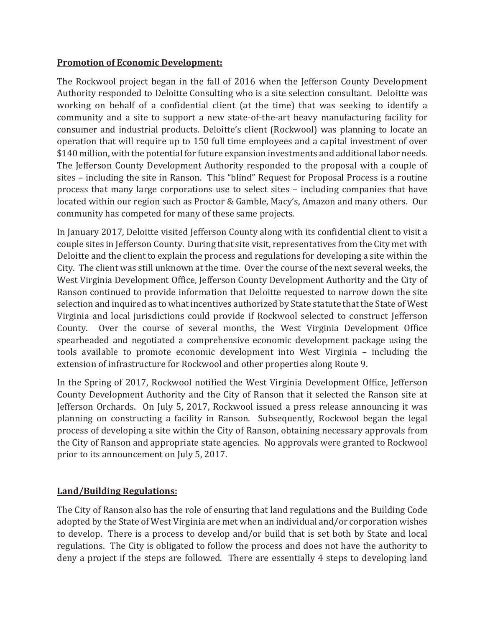## **Promotion of Economic Development:**

The Rockwool project began in the fall of 2016 when the Jefferson County Development Authority responded to Deloitte Consulting who is a site selection consultant. Deloitte was working on behalf of a confidential client (at the time) that was seeking to identify a community and a site to support a new state-of-the-art heavy manufacturing facility for consumer and industrial products. Deloitte's client (Rockwool) was planning to locate an operation that will require up to 150 full time employees and a capital investment of over \$140 million, with the potential for future expansion investments and additional labor needs. The Jefferson County Development Authority responded to the proposal with a couple of sites – including the site in Ranson. This "blind" Request for Proposal Process is a routine process that many large corporations use to select sites - including companies that have located within our region such as Proctor & Gamble, Macy's, Amazon and many others. Our community has competed for many of these same projects.

In January 2017, Deloitte visited Jefferson County along with its confidential client to visit a couple sites in Jefferson County. During that site visit, representatives from the City met with Deloitte and the client to explain the process and regulations for developing a site within the City. The client was still unknown at the time. Over the course of the next several weeks, the West Virginia Development Office, Jefferson County Development Authority and the City of Ranson continued to provide information that Deloitte requested to narrow down the site selection and inquired as to what incentives authorized by State statute that the State of West Virginia and local jurisdictions could provide if Rockwool selected to construct Jefferson County. Over the course of several months, the West Virginia Development Office spearheaded and negotiated a comprehensive economic development package using the tools available to promote economic development into West Virginia - including the extension of infrastructure for Rockwool and other properties along Route 9.

In the Spring of 2017, Rockwool notified the West Virginia Development Office, Jefferson County Development Authority and the City of Ranson that it selected the Ranson site at Jefferson Orchards. On July 5, 2017, Rockwool issued a press release announcing it was planning on constructing a facility in Ranson. Subsequently, Rockwool began the legal process of developing a site within the City of Ranson, obtaining necessary approvals from the City of Ranson and appropriate state agencies. No approvals were granted to Rockwool prior to its announcement on July 5, 2017.

## **Land/Building Regulations:**

The City of Ranson also has the role of ensuring that land regulations and the Building Code adopted by the State of West Virginia are met when an individual and/or corporation wishes to develop. There is a process to develop and/or build that is set both by State and local regulations. The City is obligated to follow the process and does not have the authority to deny a project if the steps are followed. There are essentially 4 steps to developing land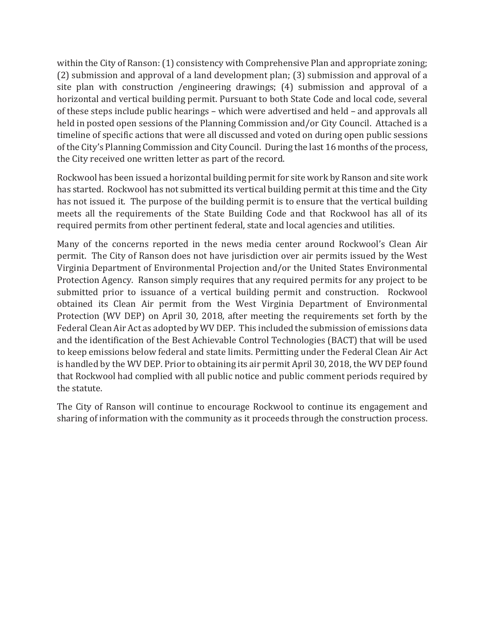within the City of Ranson: (1) consistency with Comprehensive Plan and appropriate zoning; (2) submission and approval of a land development plan; (3) submission and approval of a site plan with construction /engineering drawings; (4) submission and approval of a horizontal and vertical building permit. Pursuant to both State Code and local code, several of these steps include public hearings – which were advertised and held – and approvals all held in posted open sessions of the Planning Commission and/or City Council. Attached is a timeline of specific actions that were all discussed and voted on during open public sessions of the City's Planning Commission and City Council. During the last 16 months of the process, the City received one written letter as part of the record.

Rockwool has been issued a horizontal building permit for site work by Ranson and site work has started. Rockwool has not submitted its vertical building permit at this time and the City has not issued it. The purpose of the building permit is to ensure that the vertical building meets all the requirements of the State Building Code and that Rockwool has all of its required permits from other pertinent federal, state and local agencies and utilities.

Many of the concerns reported in the news media center around Rockwool's Clean Air permit. The City of Ranson does not have jurisdiction over air permits issued by the West Virginia Department of Environmental Projection and/or the United States Environmental Protection Agency. Ranson simply requires that any required permits for any project to be submitted prior to issuance of a vertical building permit and construction. Rockwool obtained its Clean Air permit from the West Virginia Department of Environmental Protection (WV DEP) on April 30, 2018, after meeting the requirements set forth by the Federal Clean Air Act as adopted by WV DEP. This included the submission of emissions data and the identification of the Best Achievable Control Technologies (BACT) that will be used to keep emissions below federal and state limits. Permitting under the Federal Clean Air Act is handled by the WV DEP. Prior to obtaining its air permit April 30, 2018, the WV DEP found that Rockwool had complied with all public notice and public comment periods required by the statute.

The City of Ranson will continue to encourage Rockwool to continue its engagement and sharing of information with the community as it proceeds through the construction process.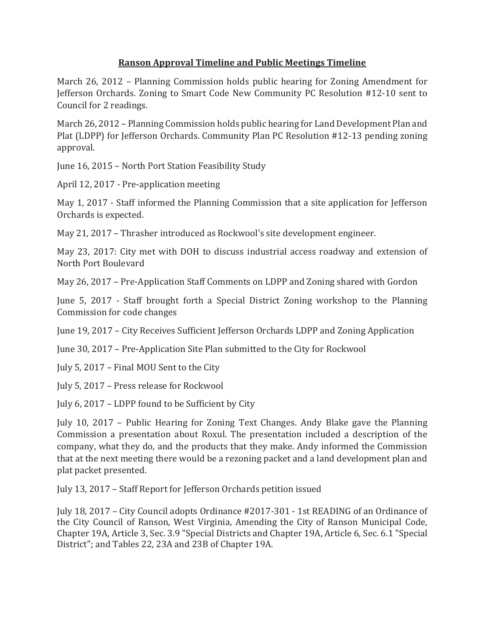## **Ranson Approval Timeline and Public Meetings Timeline**

March 26, 2012 – Planning Commission holds public hearing for Zoning Amendment for Jefferson Orchards. Zoning to Smart Code New Community PC Resolution #12-10 sent to Council for 2 readings.

March 26, 2012 – Planning Commission holds public hearing for Land Development Plan and Plat (LDPP) for Jefferson Orchards, Community Plan PC Resolution #12-13 pending zoning approval.

June 16, 2015 - North Port Station Feasibility Study

April 12, 2017 - Pre-application meeting

May 1, 2017 - Staff informed the Planning Commission that a site application for Jefferson Orchards is expected.

May 21, 2017 – Thrasher introduced as Rockwool's site development engineer.

May 23, 2017: City met with DOH to discuss industrial access roadway and extension of North Port Boulevard

May 26, 2017 - Pre-Application Staff Comments on LDPP and Zoning shared with Gordon

June 5, 2017 - Staff brought forth a Special District Zoning workshop to the Planning Commission for code changes

June 19, 2017 - City Receives Sufficient Jefferson Orchards LDPP and Zoning Application

June 30, 2017 – Pre-Application Site Plan submitted to the City for Rockwool

July 5, 2017 – Final MOU Sent to the City

July 5, 2017 - Press release for Rockwool

July 6, 2017 - LDPP found to be Sufficient by City

July 10, 2017 – Public Hearing for Zoning Text Changes. Andy Blake gave the Planning Commission a presentation about Roxul. The presentation included a description of the company, what they do, and the products that they make. Andy informed the Commission that at the next meeting there would be a rezoning packet and a land development plan and plat packet presented.

July 13, 2017 – Staff Report for Jefferson Orchards petition issued

July 18, 2017 - City Council adopts Ordinance #2017-301 - 1st READING of an Ordinance of the City Council of Ranson, West Virginia, Amending the City of Ranson Municipal Code, Chapter 19A, Article 3, Sec. 3.9 "Special Districts and Chapter 19A, Article 6, Sec. 6.1 "Special District"; and Tables 22, 23A and 23B of Chapter 19A.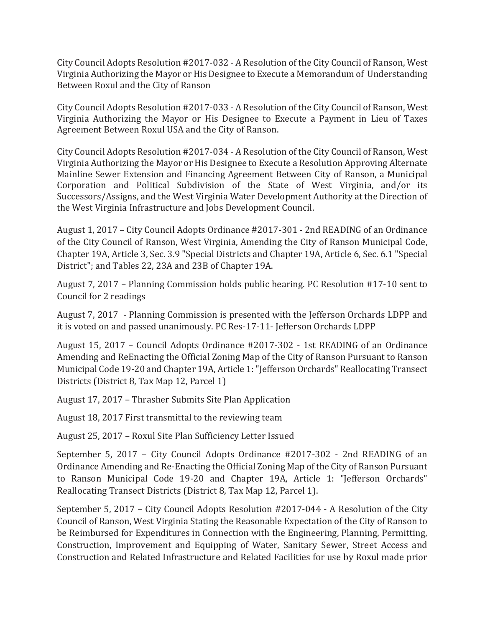City Council Adopts Resolution #2017-032 - A Resolution of the City Council of Ranson, West Virginia Authorizing the Mayor or His Designee to Execute a Memorandum of Understanding Between Roxul and the City of Ranson

City Council Adopts Resolution #2017-033 - A Resolution of the City Council of Ranson, West Virginia Authorizing the Mayor or His Designee to Execute a Payment in Lieu of Taxes Agreement Between Roxul USA and the City of Ranson.

City Council Adopts Resolution #2017-034 - A Resolution of the City Council of Ranson, West Virginia Authorizing the Mayor or His Designee to Execute a Resolution Approving Alternate Mainline Sewer Extension and Financing Agreement Between City of Ranson, a Municipal Corporation and Political Subdivision of the State of West Virginia, and/or its Successors/Assigns, and the West Virginia Water Development Authority at the Direction of the West Virginia Infrastructure and Jobs Development Council.

August 1, 2017 - City Council Adopts Ordinance #2017-301 - 2nd READING of an Ordinance of the City Council of Ranson, West Virginia, Amending the City of Ranson Municipal Code, Chapter 19A, Article 3, Sec. 3.9 "Special Districts and Chapter 19A, Article 6, Sec. 6.1 "Special District"; and Tables 22, 23A and 23B of Chapter 19A.

August 7, 2017 – Planning Commission holds public hearing. PC Resolution #17-10 sent to Council for 2 readings

August 7, 2017 - Planning Commission is presented with the Jefferson Orchards LDPP and it is voted on and passed unanimously. PC Res-17-11- Jefferson Orchards LDPP

August 15, 2017 - Council Adopts Ordinance #2017-302 - 1st READING of an Ordinance Amending and ReEnacting the Official Zoning Map of the City of Ranson Pursuant to Ranson Municipal Code 19-20 and Chapter 19A, Article 1: "Jefferson Orchards" Reallocating Transect Districts (District 8, Tax Map 12, Parcel 1)

August 17, 2017 - Thrasher Submits Site Plan Application

August 18, 2017 First transmittal to the reviewing team

August 25, 2017 – Roxul Site Plan Sufficiency Letter Issued

September 5, 2017 - City Council Adopts Ordinance #2017-302 - 2nd READING of an Ordinance Amending and Re-Enacting the Official Zoning Map of the City of Ranson Pursuant to Ranson Municipal Code 19-20 and Chapter 19A, Article 1: "Jefferson Orchards" Reallocating Transect Districts (District 8, Tax Map 12, Parcel 1).

September 5, 2017 - City Council Adopts Resolution #2017-044 - A Resolution of the City Council of Ranson, West Virginia Stating the Reasonable Expectation of the City of Ranson to be Reimbursed for Expenditures in Connection with the Engineering, Planning, Permitting, Construction, Improvement and Equipping of Water, Sanitary Sewer, Street Access and Construction and Related Infrastructure and Related Facilities for use by Roxul made prior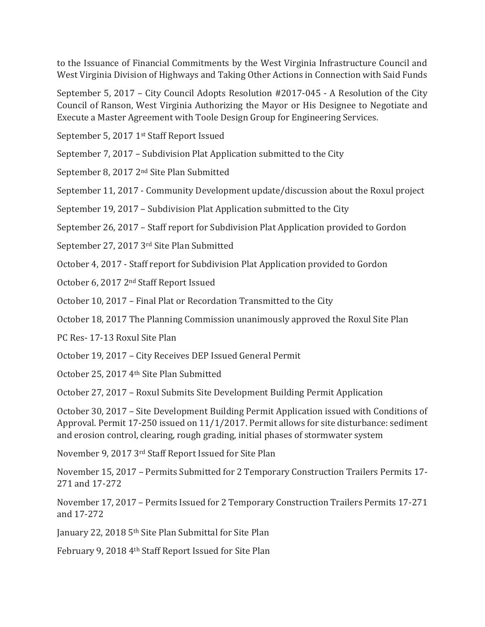to the Issuance of Financial Commitments by the West Virginia Infrastructure Council and West Virginia Division of Highways and Taking Other Actions in Connection with Said Funds

September 5, 2017 – City Council Adopts Resolution #2017-045 - A Resolution of the City Council of Ranson, West Virginia Authorizing the Mayor or His Designee to Negotiate and Execute a Master Agreement with Toole Design Group for Engineering Services.

September 5, 2017 1<sup>st</sup> Staff Report Issued

September 7, 2017 – Subdivision Plat Application submitted to the City

September 8, 2017 2<sup>nd</sup> Site Plan Submitted

September 11, 2017 - Community Development update/discussion about the Roxul project

September 19, 2017 - Subdivision Plat Application submitted to the City

September 26, 2017 - Staff report for Subdivision Plat Application provided to Gordon

September 27, 2017 3rd Site Plan Submitted

October 4, 2017 - Staff report for Subdivision Plat Application provided to Gordon

October 6, 2017 2<sup>nd</sup> Staff Report Issued

October 10, 2017 - Final Plat or Recordation Transmitted to the City

October 18, 2017 The Planning Commission unanimously approved the Roxul Site Plan

PC Res- 17-13 Roxul Site Plan

October 19, 2017 - City Receives DEP Issued General Permit

October 25, 2017 4<sup>th</sup> Site Plan Submitted

October 27, 2017 – Roxul Submits Site Development Building Permit Application

October 30, 2017 – Site Development Building Permit Application issued with Conditions of Approval. Permit 17-250 issued on 11/1/2017. Permit allows for site disturbance: sediment and erosion control, clearing, rough grading, initial phases of stormwater system

November 9, 2017 3rd Staff Report Issued for Site Plan

November 15, 2017 – Permits Submitted for 2 Temporary Construction Trailers Permits 17-271 and 17-272

November 17, 2017 – Permits Issued for 2 Temporary Construction Trailers Permits 17-271 and 17-272

January 22, 2018 5<sup>th</sup> Site Plan Submittal for Site Plan

February 9, 2018 4th Staff Report Issued for Site Plan